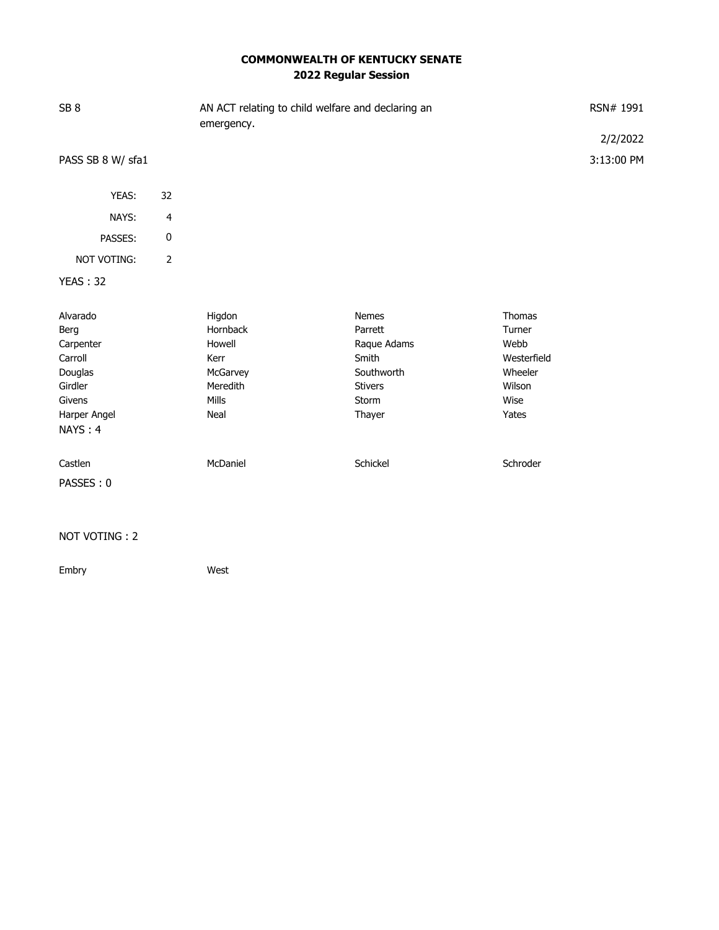## **COMMONWEALTH OF KENTUCKY SENATE 2022 Regular Session**

| SB <sub>8</sub>    |                | AN ACT relating to child welfare and declaring an<br>emergency. | RSN# 1991      |               |                        |
|--------------------|----------------|-----------------------------------------------------------------|----------------|---------------|------------------------|
| PASS SB 8 W/ sfa1  |                |                                                                 |                |               | 2/2/2022<br>3:13:00 PM |
|                    |                |                                                                 |                |               |                        |
| YEAS:              | 32             |                                                                 |                |               |                        |
| NAYS:              | $\overline{4}$ |                                                                 |                |               |                        |
| PASSES:            | 0              |                                                                 |                |               |                        |
| <b>NOT VOTING:</b> | $\overline{2}$ |                                                                 |                |               |                        |
| <b>YEAS: 32</b>    |                |                                                                 |                |               |                        |
| Alvarado           |                | Higdon                                                          | <b>Nemes</b>   | <b>Thomas</b> |                        |
| Berg               |                | Hornback                                                        | Parrett        | Turner        |                        |
| Carpenter          |                | Howell                                                          | Raque Adams    | Webb          |                        |
| Carroll            |                | Kerr                                                            | Smith          | Westerfield   |                        |
| Douglas            |                | McGarvey                                                        | Southworth     | Wheeler       |                        |
| Girdler            |                | Meredith                                                        | <b>Stivers</b> | Wilson        |                        |
| Givens             |                | Mills                                                           | Storm          | Wise          |                        |
| Harper Angel       |                | Neal                                                            | Thayer         | Yates         |                        |
| NAYS: 4            |                |                                                                 |                |               |                        |
| Castlen            |                | McDaniel                                                        | Schickel       | Schroder      |                        |
| PASSES: 0          |                |                                                                 |                |               |                        |

## NOT VOTING : 2

Embry West